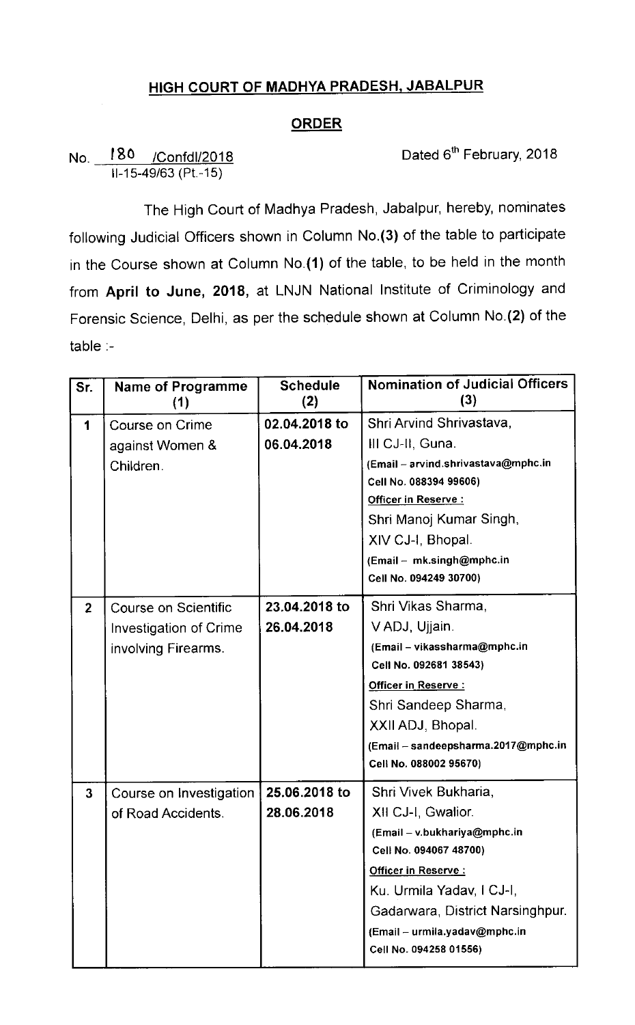## HIGH COURT OF MADHYA PRADESH, JABALPUR

## **ORDER**

No. 180 /Confdl/2018 Dated 6<sup>th</sup> February, 2018  $II-15-49/63$  (Pt.-15)

The High Court of Madhya Pradesh, Jabalpur, hereby, nominates following Judicial Officers shown in Column No.(3) of the table to participate in the Course shown at Column No.(1) of the table, to be held in the month from April to June, 2018, at LNJN National Institute of Criminology and Forensic Science, Delhi, as per the schedule shown at Column No.(2) of the table :-

| Sr.            | <b>Name of Programme</b><br>(1) | <b>Schedule</b><br>(2) | <b>Nomination of Judicial Officers</b><br>(3)       |
|----------------|---------------------------------|------------------------|-----------------------------------------------------|
| 1              | Course on Crime                 | 02.04.2018 to          | Shri Arvind Shrivastava,                            |
|                | against Women &                 | 06.04.2018             | III CJ-II, Guna.                                    |
|                | Children.                       |                        | (Email - arvind.shrivastava@mphc.in                 |
|                |                                 |                        | Cell No. 088394 99606)<br>Officer in Reserve:       |
|                |                                 |                        | Shri Manoj Kumar Singh,                             |
|                |                                 |                        |                                                     |
|                |                                 |                        | XIV CJ-I, Bhopal.                                   |
|                |                                 |                        | (Email - mk.singh@mphc.in<br>Cell No. 094249 30700) |
|                |                                 |                        |                                                     |
| $\overline{2}$ | Course on Scientific            | 23.04.2018 to          | Shri Vikas Sharma,                                  |
|                | Investigation of Crime          | 26.04.2018             | V ADJ, Ujjain.                                      |
|                | involving Firearms.             |                        | (Email - vikassharma@mphc.in                        |
|                |                                 |                        | Cell No. 092681 38543)                              |
|                |                                 |                        | Officer in Reserve :                                |
|                |                                 |                        | Shri Sandeep Sharma,                                |
|                |                                 |                        | XXII ADJ, Bhopal.                                   |
|                |                                 |                        | (Email - sandeepsharma.2017@mphc.in                 |
|                |                                 |                        | Cell No. 088002 95670)                              |
| $\mathbf{3}$   | Course on Investigation         | 25.06.2018 to          | Shri Vivek Bukharia,                                |
|                | of Road Accidents.              | 28.06.2018             | XII CJ-I, Gwalior.                                  |
|                |                                 |                        | (Email - v.bukhariya@mphc.in                        |
|                |                                 |                        | Cell No. 094067 48700)                              |
|                |                                 |                        | Officer in Reserve:                                 |
|                |                                 |                        | Ku. Urmila Yadav, I CJ-I,                           |
|                |                                 |                        | Gadarwara, District Narsinghpur.                    |
|                |                                 |                        | (Email - urmila.yadav@mphc.in                       |
|                |                                 |                        | Cell No. 094258 01556)                              |
|                |                                 |                        |                                                     |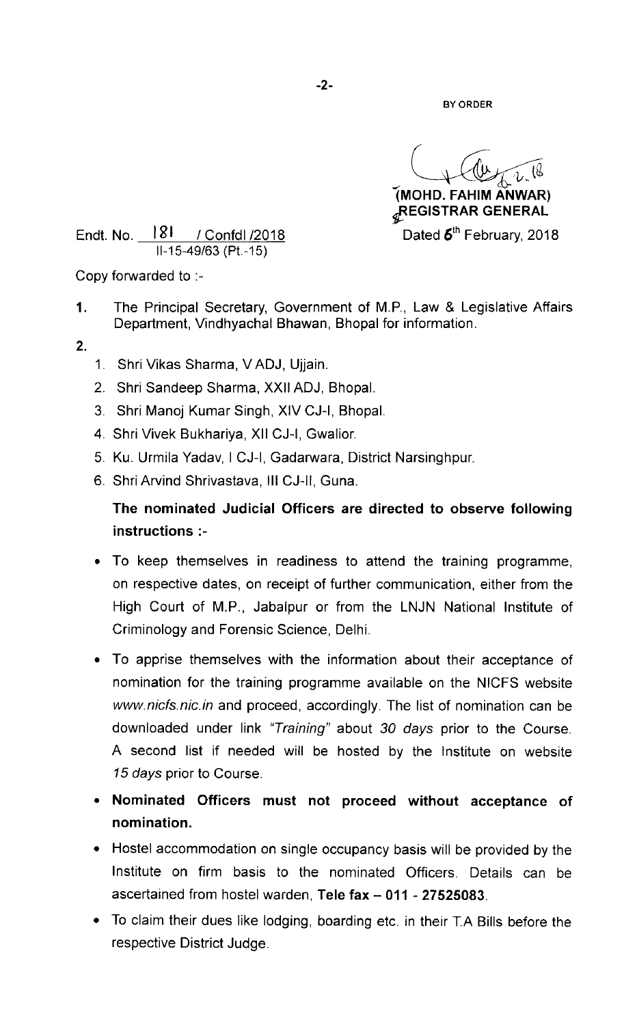BY ORDER

(MOHD. FAHIM ANWAR)  $_{d}$ REGISTRAR GENERAL

Endt. No.  $181$  / Confdl /2018 Dated  $6<sup>th</sup>$  February, 2018 II-15-49/63 (Pt.-15)

Copy forwarded to :-

- 1. The Principal Secretary, Government of M.P., Law & Legislative Affairs Department, Vindhyachal Bhawan, Bhopal for information.
- 2.
- 1. Shri vikas sharma, VADJ, Ujjain.
- 2. Shri Sandeep Sharma, Xxll ADJ, Bhopal.
- 3. Shri Manoj Kumar Singh, XIV CJ-I, Bhopal.
- 4. Shri Vivek Bukhariya, Xll CJ-I, Gwalior.
- 5. Ku. Urmila Yadav, I CJ-I, Gadarwara, District Narsinghpur.
- 6. Shri Arvind Shrivastava, III CJ-II, Guna.

## The nominated Judicial Officers are directed to observe following instructions :-

- To keep themselves in readiness to attend the training programme, on respective dates, on receipt of further communication, either from the High Court of M.P., Jabalpur or from the LNJN National Institute of Criminology and Forensic Science, Delhi.
- To apprise themselves with the information about their acceptance of nomination for the training programme available on the NICFS website www.nicfs.nic.in and proceed, accordingly. The list of nomination can be downloaded under link "Training" about 30 days prior to the Course. A second list if needed will be hosted by the Institute on website 15 days prior to Course.
- Nominated Officers must not proceed without acceptance of nomination.
- Hostel accommodation on single occupancy basis will be provided by the Institute on firm basis to the nominated Officers. Details can be ascertained from hostel warden, Tele fax - 011 - 27525083.
- To claim their dues like lodging, boarding etc. in thelr T.A Bills before the respective District Judge.